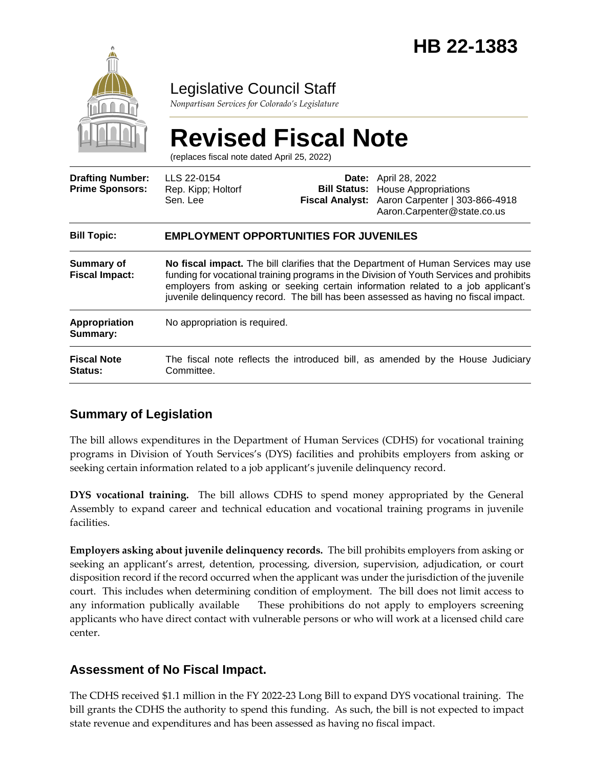

## Legislative Council Staff

*Nonpartisan Services for Colorado's Legislature*

# **Revised Fiscal Note**

(replaces fiscal note dated April 25, 2022)

| <b>Drafting Number:</b><br><b>Prime Sponsors:</b> | LLS 22-0154<br>Rep. Kipp; Holtorf<br>Sen. Lee                                                                                                                                                                                                                                                                                                              |  | <b>Date:</b> April 28, 2022<br><b>Bill Status:</b> House Appropriations<br>Fiscal Analyst: Aaron Carpenter   303-866-4918<br>Aaron.Carpenter@state.co.us |
|---------------------------------------------------|------------------------------------------------------------------------------------------------------------------------------------------------------------------------------------------------------------------------------------------------------------------------------------------------------------------------------------------------------------|--|----------------------------------------------------------------------------------------------------------------------------------------------------------|
| <b>Bill Topic:</b>                                | <b>EMPLOYMENT OPPORTUNITIES FOR JUVENILES</b>                                                                                                                                                                                                                                                                                                              |  |                                                                                                                                                          |
| <b>Summary of</b><br><b>Fiscal Impact:</b>        | No fiscal impact. The bill clarifies that the Department of Human Services may use<br>funding for vocational training programs in the Division of Youth Services and prohibits<br>employers from asking or seeking certain information related to a job applicant's<br>juvenile delinquency record. The bill has been assessed as having no fiscal impact. |  |                                                                                                                                                          |
| Appropriation<br>Summary:                         | No appropriation is required.                                                                                                                                                                                                                                                                                                                              |  |                                                                                                                                                          |
| <b>Fiscal Note</b><br><b>Status:</b>              | The fiscal note reflects the introduced bill, as amended by the House Judiciary<br>Committee.                                                                                                                                                                                                                                                              |  |                                                                                                                                                          |

### **Summary of Legislation**

The bill allows expenditures in the Department of Human Services (CDHS) for vocational training programs in Division of Youth Services's (DYS) facilities and prohibits employers from asking or seeking certain information related to a job applicant's juvenile delinquency record.

**DYS vocational training.** The bill allows CDHS to spend money appropriated by the General Assembly to expand career and technical education and vocational training programs in juvenile facilities.

**Employers asking about juvenile delinquency records.** The bill prohibits employers from asking or seeking an applicant's arrest, detention, processing, diversion, supervision, adjudication, or court disposition record if the record occurred when the applicant was under the jurisdiction of the juvenile court. This includes when determining condition of employment. The bill does not limit access to any information publically available These prohibitions do not apply to employers screening applicants who have direct contact with vulnerable persons or who will work at a licensed child care center.

### **Assessment of No Fiscal Impact.**

The CDHS received \$1.1 million in the FY 2022-23 Long Bill to expand DYS vocational training. The bill grants the CDHS the authority to spend this funding. As such, the bill is not expected to impact state revenue and expenditures and has been assessed as having no fiscal impact.